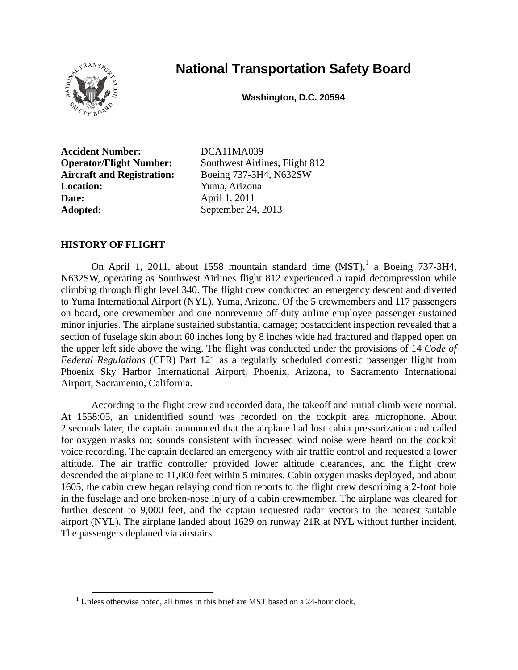

# **National Transportation Safety Board**

**Washington, D.C. 20594** 

Accident Number: DCA11MA039 **Aircraft and Registration:** Boeing 737-3H4, N632SW **Location:** Yuma, Arizona **Date: April 1, 2011** Adopted: September 24, 2013

**Operator/Flight Number:** Southwest Airlines, Flight 812

# **HISTORY OF FLIGHT**

On April 1, 2011, about 1558 mountain standard time  $(MST)$ , a Boeing 737-3H4, N632SW, operating as Southwest Airlines flight 812 experienced a rapid decompression while climbing through flight level 340. The flight crew conducted an emergency descent and diverted to Yuma International Airport (NYL), Yuma, Arizona. Of the 5 crewmembers and 117 passengers on board, one crewmember and one nonrevenue off-duty airline employee passenger sustained minor injuries. The airplane sustained substantial damage; postaccident inspection revealed that a section of fuselage skin about 60 inches long by 8 inches wide had fractured and flapped open on the upper left side above the wing. The flight was conducted under the provisions of 14 *Code of Federal Regulations* (CFR) Part 121 as a regularly scheduled domestic passenger flight from Phoenix Sky Harbor International Airport, Phoenix, Arizona, to Sacramento International Airport, Sacramento, California.

According to the flight crew and recorded data, the takeoff and initial climb were normal. At 1558:05, an unidentified sound was recorded on the cockpit area microphone. About 2 seconds later, the captain announced that the airplane had lost cabin pressurization and called for oxygen masks on; sounds consistent with increased wind noise were heard on the cockpit voice recording. The captain declared an emergency with air traffic control and requested a lower altitude. The air traffic controller provided lower altitude clearances, and the flight crew descended the airplane to 11,000 feet within 5 minutes. Cabin oxygen masks deployed, and about 1605, the cabin crew began relaying condition reports to the flight crew describing a 2-foot hole in the fuselage and one broken-nose injury of a cabin crewmember. The airplane was cleared for further descent to 9,000 feet, and the captain requested radar vectors to the nearest suitable airport (NYL). The airplane landed about 1629 on runway 21R at NYL without further incident. The passengers deplaned via airstairs.

<sup>&</sup>lt;sup>1</sup> Unless otherwise noted, all times in this brief are MST based on a 24-hour clock.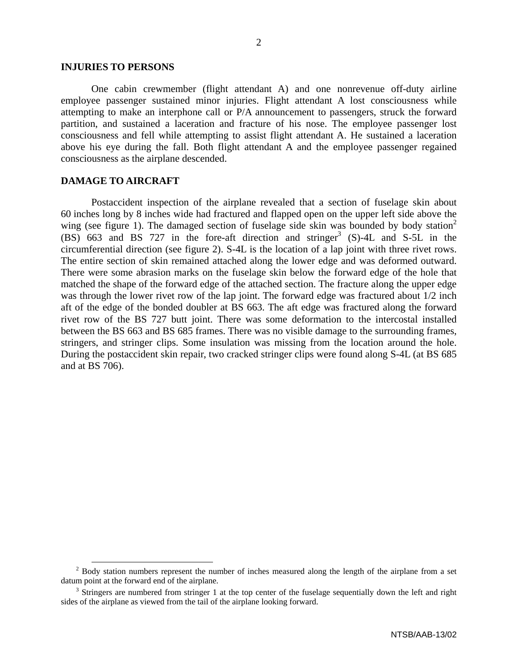#### **INJURIES TO PERSONS**

One cabin crewmember (flight attendant A) and one nonrevenue off-duty airline employee passenger sustained minor injuries. Flight attendant A lost consciousness while attempting to make an interphone call or P/A announcement to passengers, struck the forward partition, and sustained a laceration and fracture of his nose. The employee passenger lost consciousness and fell while attempting to assist flight attendant A. He sustained a laceration above his eye during the fall. Both flight attendant A and the employee passenger regained consciousness as the airplane descended.

# **DAMAGE TO AIRCRAFT**

Postaccident inspection of the airplane revealed that a section of fuselage skin about 60 inches long by 8 inches wide had fractured and flapped open on the upper left side above the wing (see figure 1). The damaged section of fuselage side skin was bounded by body station<sup>2</sup>  $(BS)$  663 and BS 727 in the fore-aft direction and stringer<sup>3</sup> (S)-4L and S-5L in the circumferential direction (see figure 2). S-4L is the location of a lap joint with three rivet rows. The entire section of skin remained attached along the lower edge and was deformed outward. There were some abrasion marks on the fuselage skin below the forward edge of the hole that matched the shape of the forward edge of the attached section. The fracture along the upper edge was through the lower rivet row of the lap joint. The forward edge was fractured about 1/2 inch aft of the edge of the bonded doubler at BS 663. The aft edge was fractured along the forward rivet row of the BS 727 butt joint. There was some deformation to the intercostal installed between the BS 663 and BS 685 frames. There was no visible damage to the surrounding frames, stringers, and stringer clips. Some insulation was missing from the location around the hole. During the postaccident skin repair, two cracked stringer clips were found along S-4L (at BS 685 and at BS 706).

<sup>&</sup>lt;sup>2</sup> Body station numbers represent the number of inches measured along the length of the airplane from a set datum point at the forward end of the airplane.

<sup>&</sup>lt;sup>3</sup> Stringers are numbered from stringer 1 at the top center of the fuselage sequentially down the left and right sides of the airplane as viewed from the tail of the airplane looking forward.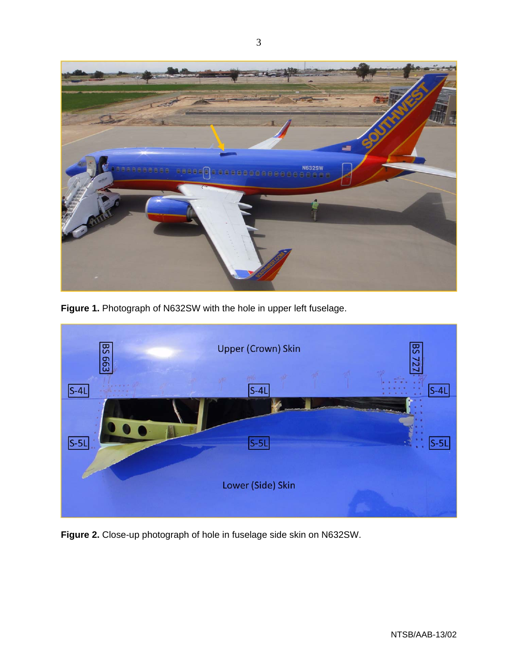

**Figure 1.** Photograph of N632SW with the hole in upper left fuselage.



**Figure 2.** Close-up photograph of hole in fuselage side skin on N632SW.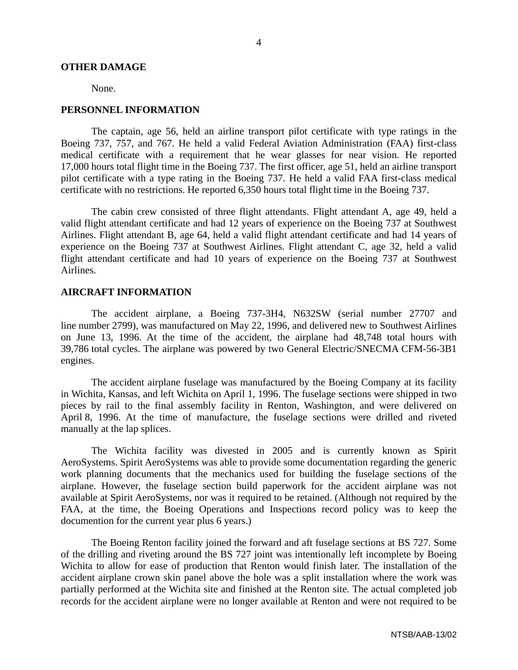### **OTHER DAMAGE**

None.

#### **PERSONNEL INFORMATION**

The captain, age 56, held an airline transport pilot certificate with type ratings in the Boeing 737, 757, and 767. He held a valid Federal Aviation Administration (FAA) first-class medical certificate with a requirement that he wear glasses for near vision. He reported 17,000 hours total flight time in the Boeing 737. The first officer, age 51, held an airline transport pilot certificate with a type rating in the Boeing 737. He held a valid FAA first-class medical certificate with no restrictions. He reported 6,350 hours total flight time in the Boeing 737.

The cabin crew consisted of three flight attendants. Flight attendant A, age 49, held a valid flight attendant certificate and had 12 years of experience on the Boeing 737 at Southwest Airlines. Flight attendant B, age 64, held a valid flight attendant certificate and had 14 years of experience on the Boeing 737 at Southwest Airlines. Flight attendant C, age 32, held a valid flight attendant certificate and had 10 years of experience on the Boeing 737 at Southwest Airlines.

# **AIRCRAFT INFORMATION**

The accident airplane, a Boeing 737-3H4, N632SW (serial number 27707 and line number 2799), was manufactured on May 22, 1996, and delivered new to Southwest Airlines on June 13, 1996. At the time of the accident, the airplane had 48,748 total hours with 39,786 total cycles. The airplane was powered by two General Electric/SNECMA CFM-56-3B1 engines.

The accident airplane fuselage was manufactured by the Boeing Company at its facility in Wichita, Kansas, and left Wichita on April 1, 1996. The fuselage sections were shipped in two pieces by rail to the final assembly facility in Renton, Washington, and were delivered on April 8, 1996. At the time of manufacture, the fuselage sections were drilled and riveted manually at the lap splices.

The Wichita facility was divested in 2005 and is currently known as Spirit AeroSystems. Spirit AeroSystems was able to provide some documentation regarding the generic work planning documents that the mechanics used for building the fuselage sections of the airplane. However, the fuselage section build paperwork for the accident airplane was not available at Spirit AeroSystems, nor was it required to be retained. (Although not required by the FAA, at the time, the Boeing Operations and Inspections record policy was to keep the documention for the current year plus 6 years.)

The Boeing Renton facility joined the forward and aft fuselage sections at BS 727. Some of the drilling and riveting around the BS 727 joint was intentionally left incomplete by Boeing Wichita to allow for ease of production that Renton would finish later. The installation of the accident airplane crown skin panel above the hole was a split installation where the work was partially performed at the Wichita site and finished at the Renton site. The actual completed job records for the accident airplane were no longer available at Renton and were not required to be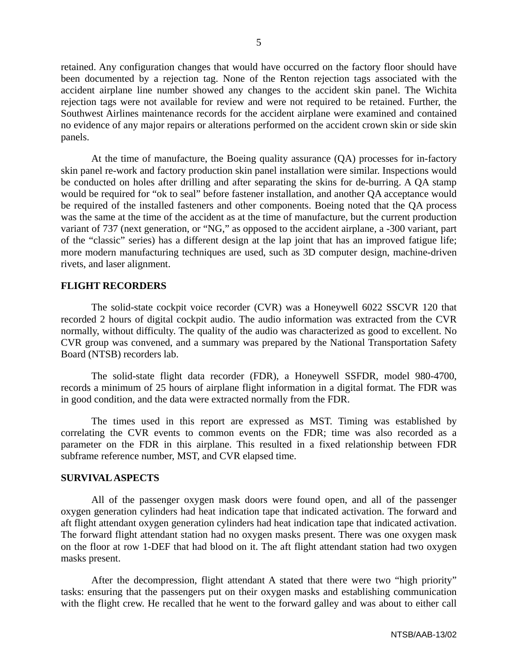retained. Any configuration changes that would have occurred on the factory floor should have been documented by a rejection tag. None of the Renton rejection tags associated with the accident airplane line number showed any changes to the accident skin panel. The Wichita rejection tags were not available for review and were not required to be retained. Further, the Southwest Airlines maintenance records for the accident airplane were examined and contained no evidence of any major repairs or alterations performed on the accident crown skin or side skin panels.

At the time of manufacture, the Boeing quality assurance (QA) processes for in-factory skin panel re-work and factory production skin panel installation were similar. Inspections would be conducted on holes after drilling and after separating the skins for de-burring. A QA stamp would be required for "ok to seal" before fastener installation, and another QA acceptance would be required of the installed fasteners and other components. Boeing noted that the QA process was the same at the time of the accident as at the time of manufacture, but the current production variant of 737 (next generation, or "NG," as opposed to the accident airplane, a -300 variant, part of the "classic" series) has a different design at the lap joint that has an improved fatigue life; more modern manufacturing techniques are used, such as 3D computer design, machine-driven rivets, and laser alignment.

# **FLIGHT RECORDERS**

The solid-state cockpit voice recorder (CVR) was a Honeywell 6022 SSCVR 120 that recorded 2 hours of digital cockpit audio. The audio information was extracted from the CVR normally, without difficulty. The quality of the audio was characterized as good to excellent. No CVR group was convened, and a summary was prepared by the National Transportation Safety Board (NTSB) recorders lab.

The solid-state flight data recorder (FDR), a Honeywell SSFDR, model 980-4700, records a minimum of 25 hours of airplane flight information in a digital format. The FDR was in good condition, and the data were extracted normally from the FDR.

The times used in this report are expressed as MST. Timing was established by correlating the CVR events to common events on the FDR; time was also recorded as a parameter on the FDR in this airplane. This resulted in a fixed relationship between FDR subframe reference number, MST, and CVR elapsed time.

# **SURVIVAL ASPECTS**

All of the passenger oxygen mask doors were found open, and all of the passenger oxygen generation cylinders had heat indication tape that indicated activation. The forward and aft flight attendant oxygen generation cylinders had heat indication tape that indicated activation. The forward flight attendant station had no oxygen masks present. There was one oxygen mask on the floor at row 1-DEF that had blood on it. The aft flight attendant station had two oxygen masks present.

After the decompression, flight attendant A stated that there were two "high priority" tasks: ensuring that the passengers put on their oxygen masks and establishing communication with the flight crew. He recalled that he went to the forward galley and was about to either call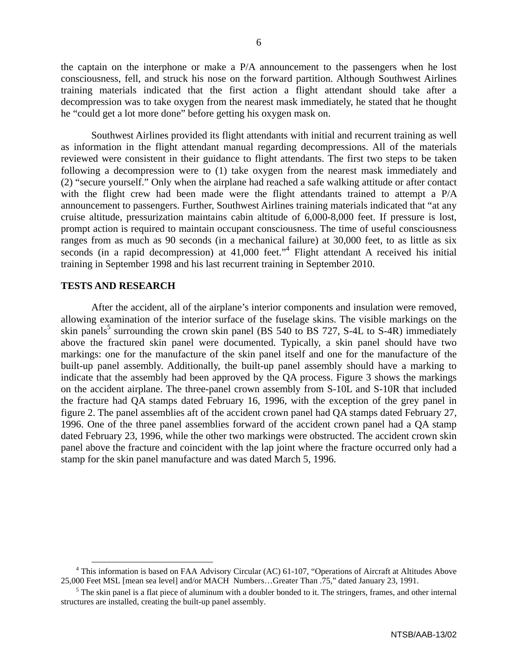the captain on the interphone or make a P/A announcement to the passengers when he lost consciousness, fell, and struck his nose on the forward partition. Although Southwest Airlines training materials indicated that the first action a flight attendant should take after a decompression was to take oxygen from the nearest mask immediately, he stated that he thought he "could get a lot more done" before getting his oxygen mask on.

Southwest Airlines provided its flight attendants with initial and recurrent training as well as information in the flight attendant manual regarding decompressions. All of the materials reviewed were consistent in their guidance to flight attendants. The first two steps to be taken following a decompression were to (1) take oxygen from the nearest mask immediately and (2) "secure yourself." Only when the airplane had reached a safe walking attitude or after contact with the flight crew had been made were the flight attendants trained to attempt a P/A announcement to passengers. Further, Southwest Airlines training materials indicated that "at any cruise altitude, pressurization maintains cabin altitude of 6,000-8,000 feet. If pressure is lost, prompt action is required to maintain occupant consciousness. The time of useful consciousness ranges from as much as 90 seconds (in a mechanical failure) at 30,000 feet, to as little as six seconds (in a rapid decompression) at 41,000 feet."<sup>4</sup> Flight attendant A received his initial training in September 1998 and his last recurrent training in September 2010.

### **TESTS AND RESEARCH**

After the accident, all of the airplane's interior components and insulation were removed, allowing examination of the interior surface of the fuselage skins. The visible markings on the skin panels<sup>5</sup> surrounding the crown skin panel (BS 540 to BS 727, S-4L to S-4R) immediately above the fractured skin panel were documented. Typically, a skin panel should have two markings: one for the manufacture of the skin panel itself and one for the manufacture of the built-up panel assembly. Additionally, the built-up panel assembly should have a marking to indicate that the assembly had been approved by the QA process. Figure 3 shows the markings on the accident airplane. The three-panel crown assembly from S-10L and S-10R that included the fracture had QA stamps dated February 16, 1996, with the exception of the grey panel in figure 2. The panel assemblies aft of the accident crown panel had QA stamps dated February 27, 1996. One of the three panel assemblies forward of the accident crown panel had a QA stamp dated February 23, 1996, while the other two markings were obstructed. The accident crown skin panel above the fracture and coincident with the lap joint where the fracture occurred only had a stamp for the skin panel manufacture and was dated March 5, 1996.

<sup>&</sup>lt;sup>4</sup> This information is based on FAA Advisory Circular (AC) 61-107, "Operations of Aircraft at Altitudes Above 25,000 Feet MSL [mean sea level] and/or MACH Numbers...Greater Than .75," dated January 23, 1991.

 $<sup>5</sup>$  The skin panel is a flat piece of aluminum with a doubler bonded to it. The stringers, frames, and other internal</sup> structures are installed, creating the built-up panel assembly.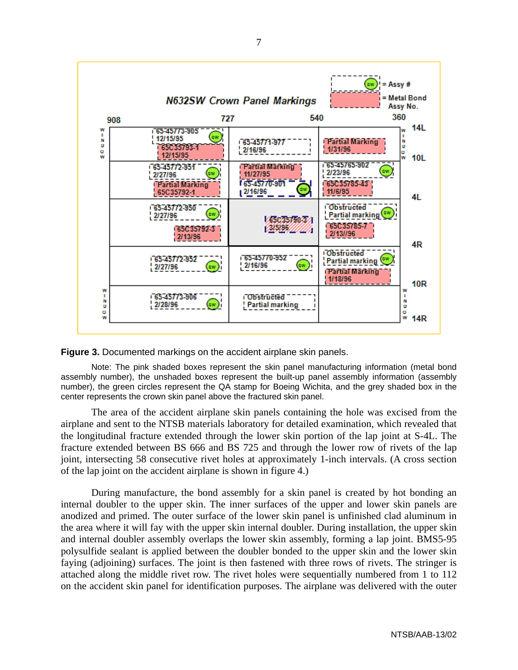



Note: The pink shaded boxes represent the skin panel manufacturing information (metal bond assembly number), the unshaded boxes represent the built-up panel assembly information (assembly number), the green circles represent the QA stamp for Boeing Wichita, and the grey shaded box in the center represents the crown skin panel above the fractured skin panel.

The area of the accident airplane skin panels containing the hole was excised from the airplane and sent to the NTSB materials laboratory for detailed examination, which revealed that the longitudinal fracture extended through the lower skin portion of the lap joint at S-4L. The fracture extended between BS 666 and BS 725 and through the lower row of rivets of the lap joint, intersecting 58 consecutive rivet holes at approximately 1-inch intervals. (A cross section of the lap joint on the accident airplane is shown in figure 4.)

During manufacture, the bond assembly for a skin panel is created by hot bonding an internal doubler to the upper skin. The inner surfaces of the upper and lower skin panels are anodized and primed. The outer surface of the lower skin panel is unfinished clad aluminum in the area where it will fay with the upper skin internal doubler. During installation, the upper skin and internal doubler assembly overlaps the lower skin assembly, forming a lap joint. BMS5-95 polysulfide sealant is applied between the doubler bonded to the upper skin and the lower skin faying (adjoining) surfaces. The joint is then fastened with three rows of rivets. The stringer is attached along the middle rivet row. The rivet holes were sequentially numbered from 1 to 112 on the accident skin panel for identification purposes. The airplane was delivered with the outer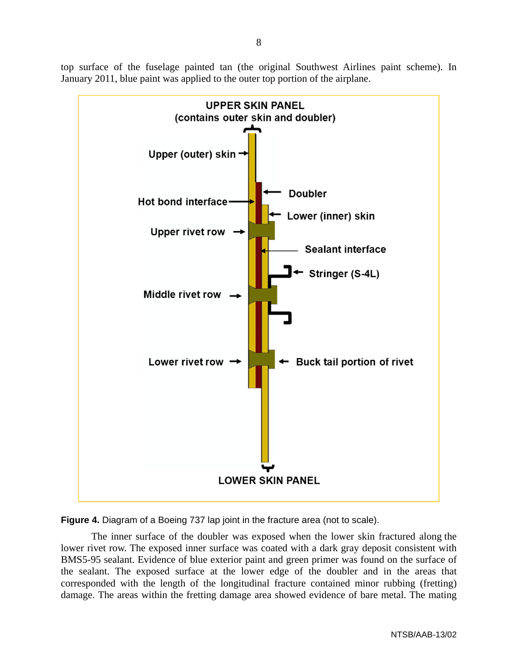top surface of the fuselage painted tan (the original Southwest Airlines paint scheme). In January 2011, blue paint was applied to the outer top portion of the airplane.



**Figure 4.** Diagram of a Boeing 737 lap joint in the fracture area (not to scale).

The inner surface of the doubler was exposed when the lower skin fractured along the lower rivet row. The exposed inner surface was coated with a dark gray deposit consistent with BMS5-95 sealant. Evidence of blue exterior paint and green primer was found on the surface of the sealant. The exposed surface at the lower edge of the doubler and in the areas that corresponded with the length of the longitudinal fracture contained minor rubbing (fretting) damage. The areas within the fretting damage area showed evidence of bare metal. The mating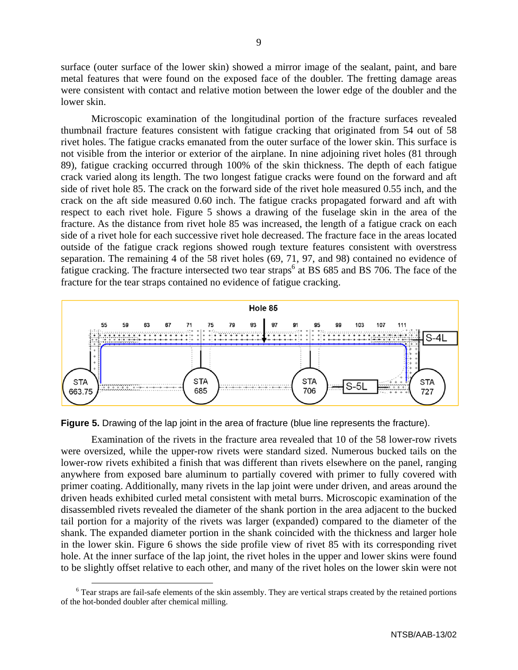surface (outer surface of the lower skin) showed a mirror image of the sealant, paint, and bare metal features that were found on the exposed face of the doubler. The fretting damage areas were consistent with contact and relative motion between the lower edge of the doubler and the lower skin.

Microscopic examination of the longitudinal portion of the fracture surfaces revealed thumbnail fracture features consistent with fatigue cracking that originated from 54 out of 58 rivet holes. The fatigue cracks emanated from the outer surface of the lower skin. This surface is not visible from the interior or exterior of the airplane. In nine adjoining rivet holes (81 through 89), fatigue cracking occurred through 100% of the skin thickness. The depth of each fatigue crack varied along its length. The two longest fatigue cracks were found on the forward and aft side of rivet hole 85. The crack on the forward side of the rivet hole measured 0.55 inch, and the crack on the aft side measured 0.60 inch. The fatigue cracks propagated forward and aft with respect to each rivet hole. Figure 5 shows a drawing of the fuselage skin in the area of the fracture. As the distance from rivet hole 85 was increased, the length of a fatigue crack on each side of a rivet hole for each successive rivet hole decreased. The fracture face in the areas located outside of the fatigue crack regions showed rough texture features consistent with overstress separation. The remaining 4 of the 58 rivet holes (69, 71, 97, and 98) contained no evidence of fatigue cracking. The fracture intersected two tear straps<sup>6</sup> at BS 685 and BS 706. The face of the fracture for the tear straps contained no evidence of fatigue cracking.



**Figure 5.** Drawing of the lap joint in the area of fracture (blue line represents the fracture).

Examination of the rivets in the fracture area revealed that 10 of the 58 lower-row rivets were oversized, while the upper-row rivets were standard sized. Numerous bucked tails on the lower-row rivets exhibited a finish that was different than rivets elsewhere on the panel, ranging anywhere from exposed bare aluminum to partially covered with primer to fully covered with primer coating. Additionally, many rivets in the lap joint were under driven, and areas around the driven heads exhibited curled metal consistent with metal burrs. Microscopic examination of the disassembled rivets revealed the diameter of the shank portion in the area adjacent to the bucked tail portion for a majority of the rivets was larger (expanded) compared to the diameter of the shank. The expanded diameter portion in the shank coincided with the thickness and larger hole in the lower skin. Figure 6 shows the side profile view of rivet 85 with its corresponding rivet hole. At the inner surface of the lap joint, the rivet holes in the upper and lower skins were found to be slightly offset relative to each other, and many of the rivet holes on the lower skin were not

<sup>&</sup>lt;sup>6</sup> Tear straps are fail-safe elements of the skin assembly. They are vertical straps created by the retained portions of the hot-bonded doubler after chemical milling.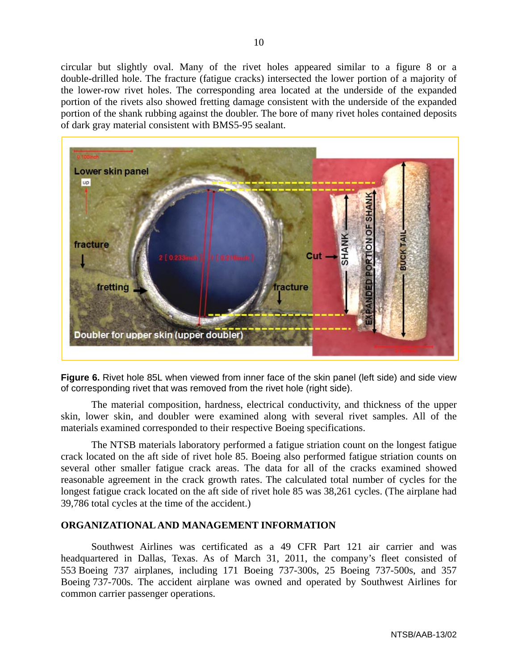circular but slightly oval. Many of the rivet holes appeared similar to a figure 8 or a double-drilled hole. The fracture (fatigue cracks) intersected the lower portion of a majority of the lower-row rivet holes. The corresponding area located at the underside of the expanded portion of the rivets also showed fretting damage consistent with the underside of the expanded portion of the shank rubbing against the doubler. The bore of many rivet holes contained deposits of dark gray material consistent with BMS5-95 sealant.



**Figure 6.** Rivet hole 85L when viewed from inner face of the skin panel (left side) and side view of corresponding rivet that was removed from the rivet hole (right side).

The material composition, hardness, electrical conductivity, and thickness of the upper skin, lower skin, and doubler were examined along with several rivet samples. All of the materials examined corresponded to their respective Boeing specifications.

The NTSB materials laboratory performed a fatigue striation count on the longest fatigue crack located on the aft side of rivet hole 85. Boeing also performed fatigue striation counts on several other smaller fatigue crack areas. The data for all of the cracks examined showed reasonable agreement in the crack growth rates. The calculated total number of cycles for the longest fatigue crack located on the aft side of rivet hole 85 was 38,261 cycles. (The airplane had 39,786 total cycles at the time of the accident.)

# **ORGANIZATIONAL AND MANAGEMENT INFORMATION**

Southwest Airlines was certificated as a 49 CFR Part 121 air carrier and was headquartered in Dallas, Texas. As of March 31, 2011, the company's fleet consisted of 553 Boeing 737 airplanes, including 171 Boeing 737-300s, 25 Boeing 737-500s, and 357 Boeing 737-700s. The accident airplane was owned and operated by Southwest Airlines for common carrier passenger operations.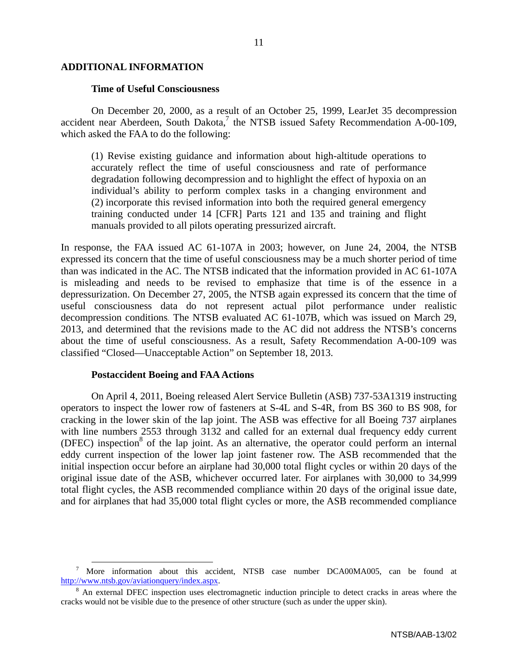# **ADDITIONAL INFORMATION**

#### **Time of Useful Consciousness**

On December 20, 2000, as a result of an October 25, 1999, LearJet 35 decompression accident near Aberdeen, South Dakota, $^7$  the NTSB issued Safety Recommendation A-00-109, which asked the FAA to do the following:

(1) Revise existing guidance and information about high-altitude operations to accurately reflect the time of useful consciousness and rate of performance degradation following decompression and to highlight the effect of hypoxia on an individual's ability to perform complex tasks in a changing environment and (2) incorporate this revised information into both the required general emergency training conducted under 14 [CFR] Parts 121 and 135 and training and flight manuals provided to all pilots operating pressurized aircraft.

In response, the FAA issued AC 61-107A in 2003; however, on June 24, 2004, the NTSB expressed its concern that the time of useful consciousness may be a much shorter period of time than was indicated in the AC. The NTSB indicated that the information provided in AC 61-107A is misleading and needs to be revised to emphasize that time is of the essence in a depressurization. On December 27, 2005, the NTSB again expressed its concern that the time of useful consciousness data do not represent actual pilot performance under realistic decompression conditions. The NTSB evaluated AC 61-107B, which was issued on March 29, 2013, and determined that the revisions made to the AC did not address the NTSB's concerns about the time of useful consciousness. As a result, Safety Recommendation A-00-109 was classified "Closed—Unacceptable Action" on September 18, 2013.

#### **Postaccident Boeing and FAA Actions**

On April 4, 2011, Boeing released Alert Service Bulletin (ASB) 737-53A1319 instructing operators to inspect the lower row of fasteners at S-4L and S-4R, from BS 360 to BS 908, for cracking in the lower skin of the lap joint. The ASB was effective for all Boeing 737 airplanes with line numbers 2553 through 3132 and called for an external dual frequency eddy current (DFEC) inspection<sup>8</sup> of the lap joint. As an alternative, the operator could perform an internal eddy current inspection of the lower lap joint fastener row. The ASB recommended that the initial inspection occur before an airplane had 30,000 total flight cycles or within 20 days of the original issue date of the ASB, whichever occurred later. For airplanes with 30,000 to 34,999 total flight cycles, the ASB recommended compliance within 20 days of the original issue date, and for airplanes that had 35,000 total flight cycles or more, the ASB recommended compliance

<sup>&</sup>lt;sup>7</sup> More information about this accident, NTSB case number DCA00MA005, can be found at http://www.ntsb.gov/aviationquery/index.aspx.

<sup>&</sup>lt;sup>8</sup> An external DFEC inspection uses electromagnetic induction principle to detect cracks in areas where the cracks would not be visible due to the presence of other structure (such as under the upper skin).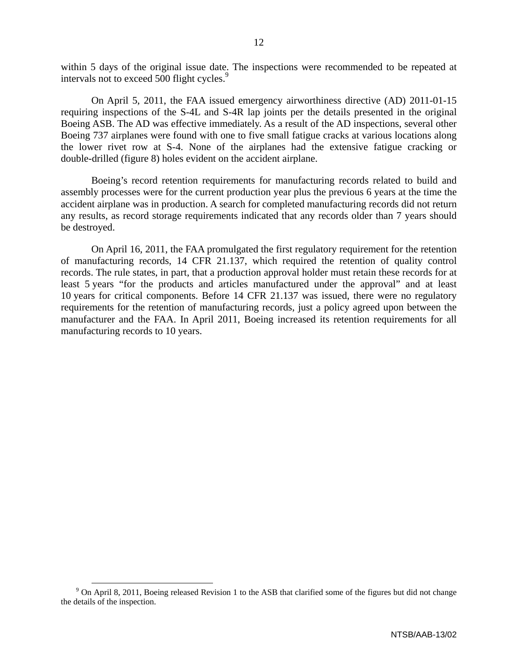within 5 days of the original issue date. The inspections were recommended to be repeated at intervals not to exceed 500 flight cycles.<sup>9</sup>

On April 5, 2011, the FAA issued emergency airworthiness directive (AD) 2011-01-15 requiring inspections of the S-4L and S-4R lap joints per the details presented in the original Boeing ASB. The AD was effective immediately. As a result of the AD inspections, several other Boeing 737 airplanes were found with one to five small fatigue cracks at various locations along the lower rivet row at S-4. None of the airplanes had the extensive fatigue cracking or double-drilled (figure 8) holes evident on the accident airplane.

Boeing's record retention requirements for manufacturing records related to build and assembly processes were for the current production year plus the previous 6 years at the time the accident airplane was in production. A search for completed manufacturing records did not return any results, as record storage requirements indicated that any records older than 7 years should be destroyed.

On April 16, 2011, the FAA promulgated the first regulatory requirement for the retention of manufacturing records, 14 CFR 21.137, which required the retention of quality control records. The rule states, in part, that a production approval holder must retain these records for at least 5 years "for the products and articles manufactured under the approval" and at least 10 years for critical components. Before 14 CFR 21.137 was issued, there were no regulatory requirements for the retention of manufacturing records, just a policy agreed upon between the manufacturer and the FAA. In April 2011, Boeing increased its retention requirements for all manufacturing records to 10 years.

<sup>&</sup>lt;sup>9</sup> On April 8, 2011, Boeing released Revision 1 to the ASB that clarified some of the figures but did not change the details of the inspection.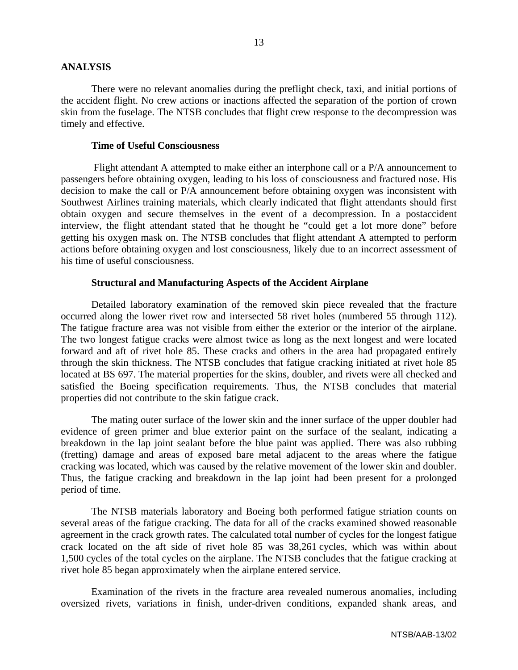#### **ANALYSIS**

There were no relevant anomalies during the preflight check, taxi, and initial portions of the accident flight. No crew actions or inactions affected the separation of the portion of crown skin from the fuselage. The NTSB concludes that flight crew response to the decompression was timely and effective.

#### **Time of Useful Consciousness**

 Flight attendant A attempted to make either an interphone call or a P/A announcement to passengers before obtaining oxygen, leading to his loss of consciousness and fractured nose. His decision to make the call or P/A announcement before obtaining oxygen was inconsistent with Southwest Airlines training materials, which clearly indicated that flight attendants should first obtain oxygen and secure themselves in the event of a decompression. In a postaccident interview, the flight attendant stated that he thought he "could get a lot more done" before getting his oxygen mask on. The NTSB concludes that flight attendant A attempted to perform actions before obtaining oxygen and lost consciousness, likely due to an incorrect assessment of his time of useful consciousness.

# **Structural and Manufacturing Aspects of the Accident Airplane**

Detailed laboratory examination of the removed skin piece revealed that the fracture occurred along the lower rivet row and intersected 58 rivet holes (numbered 55 through 112). The fatigue fracture area was not visible from either the exterior or the interior of the airplane. The two longest fatigue cracks were almost twice as long as the next longest and were located forward and aft of rivet hole 85. These cracks and others in the area had propagated entirely through the skin thickness. The NTSB concludes that fatigue cracking initiated at rivet hole 85 located at BS 697. The material properties for the skins, doubler, and rivets were all checked and satisfied the Boeing specification requirements. Thus, the NTSB concludes that material properties did not contribute to the skin fatigue crack.

The mating outer surface of the lower skin and the inner surface of the upper doubler had evidence of green primer and blue exterior paint on the surface of the sealant, indicating a breakdown in the lap joint sealant before the blue paint was applied. There was also rubbing (fretting) damage and areas of exposed bare metal adjacent to the areas where the fatigue cracking was located, which was caused by the relative movement of the lower skin and doubler. Thus, the fatigue cracking and breakdown in the lap joint had been present for a prolonged period of time.

The NTSB materials laboratory and Boeing both performed fatigue striation counts on several areas of the fatigue cracking. The data for all of the cracks examined showed reasonable agreement in the crack growth rates. The calculated total number of cycles for the longest fatigue crack located on the aft side of rivet hole 85 was 38,261 cycles, which was within about 1,500 cycles of the total cycles on the airplane. The NTSB concludes that the fatigue cracking at rivet hole 85 began approximately when the airplane entered service.

Examination of the rivets in the fracture area revealed numerous anomalies, including oversized rivets, variations in finish, under-driven conditions, expanded shank areas, and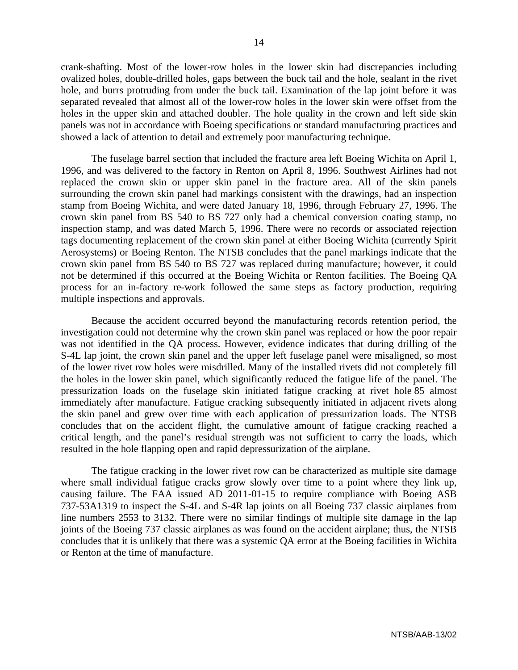crank-shafting. Most of the lower-row holes in the lower skin had discrepancies including ovalized holes, double-drilled holes, gaps between the buck tail and the hole, sealant in the rivet hole, and burrs protruding from under the buck tail. Examination of the lap joint before it was separated revealed that almost all of the lower-row holes in the lower skin were offset from the holes in the upper skin and attached doubler. The hole quality in the crown and left side skin panels was not in accordance with Boeing specifications or standard manufacturing practices and showed a lack of attention to detail and extremely poor manufacturing technique.

The fuselage barrel section that included the fracture area left Boeing Wichita on April 1, 1996, and was delivered to the factory in Renton on April 8, 1996. Southwest Airlines had not replaced the crown skin or upper skin panel in the fracture area. All of the skin panels surrounding the crown skin panel had markings consistent with the drawings, had an inspection stamp from Boeing Wichita, and were dated January 18, 1996, through February 27, 1996. The crown skin panel from BS 540 to BS 727 only had a chemical conversion coating stamp, no inspection stamp, and was dated March 5, 1996. There were no records or associated rejection tags documenting replacement of the crown skin panel at either Boeing Wichita (currently Spirit Aerosystems) or Boeing Renton. The NTSB concludes that the panel markings indicate that the crown skin panel from BS 540 to BS 727 was replaced during manufacture; however, it could not be determined if this occurred at the Boeing Wichita or Renton facilities. The Boeing QA process for an in-factory re-work followed the same steps as factory production, requiring multiple inspections and approvals.

Because the accident occurred beyond the manufacturing records retention period, the investigation could not determine why the crown skin panel was replaced or how the poor repair was not identified in the QA process. However, evidence indicates that during drilling of the S-4L lap joint, the crown skin panel and the upper left fuselage panel were misaligned, so most of the lower rivet row holes were misdrilled. Many of the installed rivets did not completely fill the holes in the lower skin panel, which significantly reduced the fatigue life of the panel. The pressurization loads on the fuselage skin initiated fatigue cracking at rivet hole 85 almost immediately after manufacture. Fatigue cracking subsequently initiated in adjacent rivets along the skin panel and grew over time with each application of pressurization loads. The NTSB concludes that on the accident flight, the cumulative amount of fatigue cracking reached a critical length, and the panel's residual strength was not sufficient to carry the loads, which resulted in the hole flapping open and rapid depressurization of the airplane.

The fatigue cracking in the lower rivet row can be characterized as multiple site damage where small individual fatigue cracks grow slowly over time to a point where they link up, causing failure. The FAA issued AD 2011-01-15 to require compliance with Boeing ASB 737-53A1319 to inspect the S-4L and S-4R lap joints on all Boeing 737 classic airplanes from line numbers 2553 to 3132. There were no similar findings of multiple site damage in the lap joints of the Boeing 737 classic airplanes as was found on the accident airplane; thus, the NTSB concludes that it is unlikely that there was a systemic QA error at the Boeing facilities in Wichita or Renton at the time of manufacture.